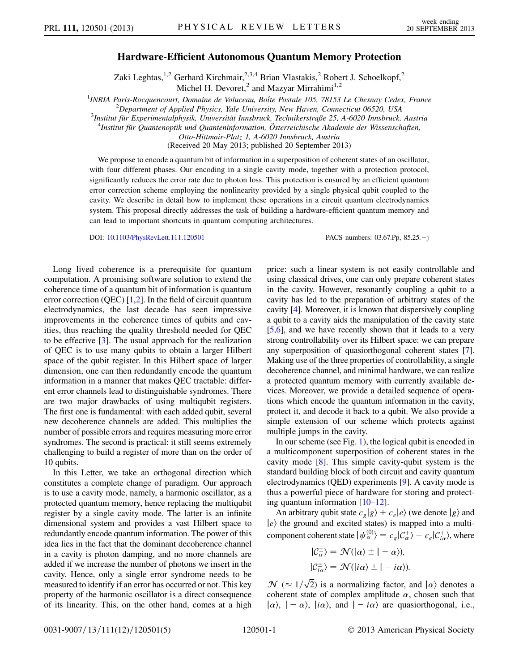## Hardware-Efficient Autonomous Quantum Memory Protection

Zaki Leghtas,<sup>1,2</sup> Gerhard Kirchmair,<sup>2,3,4</sup> Brian Vlastakis,<sup>2</sup> Robert J. Schoelkopf,<sup>2</sup> Michel H. Devoret,<sup>2</sup> and Mazyar Mirrahimi<sup>1,2</sup>

<sup>1</sup>INRIA Paris-Rocquencourt, Domaine de Voluceau, Boîte Postale 105, 78153 Le Chesnay Cedex, France

 $^{2}$ Department of Applied Physics, Yale University, New Haven, Connecticut 06520, USA

 $3$ Institut für Experimentalphysik, Universität Innsbruck, Technikerstraße 25, A-6020 Innsbruck, Austria

 ${}^{4}$ Institut für Quantenoptik und Quanteninformation, Österreichische Akademie der Wissenschaften, Otto-Hittmair-Platz 1, A-6020 Innsbruck, Austria

(Received 20 May 2013; published 20 September 2013)

We propose to encode a quantum bit of information in a superposition of coherent states of an oscillator, with four different phases. Our encoding in a single cavity mode, together with a protection protocol, significantly reduces the error rate due to photon loss. This protection is ensured by an efficient quantum error correction scheme employing the nonlinearity provided by a single physical qubit coupled to the cavity. We describe in detail how to implement these operations in a circuit quantum electrodynamics system. This proposal directly addresses the task of building a hardware-efficient quantum memory and can lead to important shortcuts in quantum computing architectures.

DOI: [10.1103/PhysRevLett.111.120501](http://dx.doi.org/10.1103/PhysRevLett.111.120501) PACS numbers: 03.67.Pp, 85.25.-j

Long lived coherence is a prerequisite for quantum computation. A promising software solution to extend the coherence time of a quantum bit of information is quantum error correction (QEC) [[1](#page-4-0)[,2\]](#page-4-1). In the field of circuit quantum electrodynamics, the last decade has seen impressive improvements in the coherence times of qubits and cavities, thus reaching the quality threshold needed for QEC to be effective [[3\]](#page-4-2). The usual approach for the realization of QEC is to use many qubits to obtain a larger Hilbert space of the qubit register. In this Hilbert space of larger dimension, one can then redundantly encode the quantum information in a manner that makes QEC tractable: different error channels lead to distinguishable syndromes. There are two major drawbacks of using multiqubit registers. The first one is fundamental: with each added qubit, several new decoherence channels are added. This multiplies the number of possible errors and requires measuring more error syndromes. The second is practical: it still seems extremely challenging to build a register of more than on the order of 10 qubits.

In this Letter, we take an orthogonal direction which constitutes a complete change of paradigm. Our approach is to use a cavity mode, namely, a harmonic oscillator, as a protected quantum memory, hence replacing the multiqubit register by a single cavity mode. The latter is an infinite dimensional system and provides a vast Hilbert space to redundantly encode quantum information. The power of this idea lies in the fact that the dominant decoherence channel in a cavity is photon damping, and no more channels are added if we increase the number of photons we insert in the cavity. Hence, only a single error syndrome needs to be measured to identify if an error has occurred or not. This key property of the harmonic oscillator is a direct consequence of its linearity. This, on the other hand, comes at a high price: such a linear system is not easily controllable and using classical drives, one can only prepare coherent states in the cavity. However, resonantly coupling a qubit to a cavity has led to the preparation of arbitrary states of the cavity [\[4](#page-4-3)]. Moreover, it is known that dispersively coupling a qubit to a cavity aids the manipulation of the cavity state [\[5](#page-4-4)[,6](#page-4-5)], and we have recently shown that it leads to a very strong controllability over its Hilbert space: we can prepare any superposition of quasiorthogonal coherent states [\[7](#page-4-6)]. Making use of the three properties of controllability, a single decoherence channel, and minimal hardware, we can realize a protected quantum memory with currently available devices. Moreover, we provide a detailed sequence of operations which encode the quantum information in the cavity, protect it, and decode it back to a qubit. We also provide a simple extension of our scheme which protects against multiple jumps in the cavity.

In our scheme (see Fig. [1](#page-1-0)), the logical qubit is encoded in a multicomponent superposition of coherent states in the cavity mode [\[8](#page-4-7)]. This simple cavity-qubit system is the standard building block of both circuit and cavity quantum electrodynamics (QED) experiments [[9](#page-4-8)]. A cavity mode is thus a powerful piece of hardware for storing and protecting quantum information [\[10–](#page-4-9)[12](#page-4-10)].

An arbitrary qubit state  $c_g|g\rangle + c_e|e\rangle$  (we denote  $|g\rangle$  and  $\ket{e}$  the ground and excited states) is mapped into a multicomponent coherent state  $|\psi_{\alpha}^{(0)}\rangle = c_g |C_{\alpha}^{+}\rangle + c_e |C_{i\alpha}^{+}\rangle$ , where

$$
|C_{\alpha}^{\pm}\rangle = \mathcal{N}(|\alpha\rangle \pm | -\alpha\rangle),
$$
  

$$
|C_{i\alpha}^{\pm}\rangle = \mathcal{N}(|i\alpha\rangle \pm | -i\alpha\rangle).
$$

 $\mathcal{N} \approx 1/\sqrt{2}$  is a normalizing factor, and  $|\alpha\rangle$  denotes a coherent state of complex amplitude  $\alpha$  chosen such that coherent state of complex amplitude  $\alpha$ , chosen such that  $|\alpha\rangle$ ,  $|-\alpha\rangle$ ,  $|i\alpha\rangle$ , and  $|-i\alpha\rangle$  are quasiorthogonal, i.e.,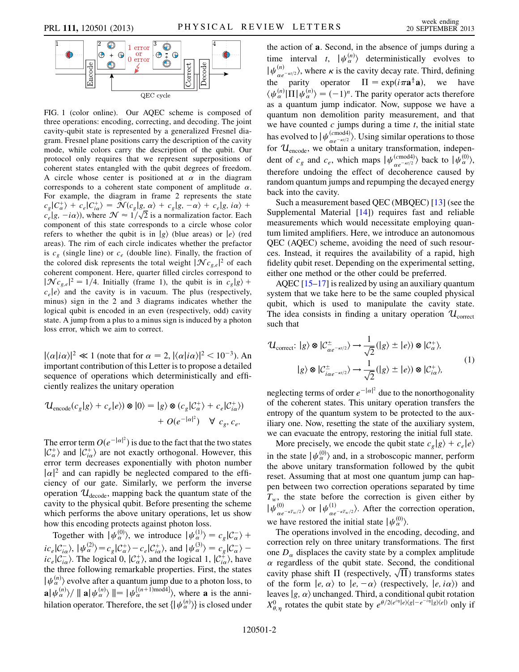<span id="page-1-0"></span>

FIG. 1 (color online). Our AQEC scheme is composed of three operations: encoding, correcting, and decoding. The joint cavity-qubit state is represented by a generalized Fresnel diagram. Fresnel plane positions carry the description of the cavity mode, while colors carry the description of the qubit. Our protocol only requires that we represent superpositions of coherent states entangled with the qubit degrees of freedom. A circle whose center is positioned at  $\alpha$  in the diagram corresponds to a coherent state component of amplitude  $\alpha$ . For example, the diagram in frame 2 represents the state  $c_g |C^+_{\alpha}\rangle + c_e |C^+_{i\alpha}\rangle = \mathcal{N}(c_g | g, \alpha\rangle + c_g | g, -\alpha\rangle + c_e | g, i\alpha\rangle + c_e | \alpha - i\alpha\rangle)$  where  $\mathcal{N} \approx 1/\sqrt{2}$  is a normalization factor. Each  $c_e|g, -i\alpha\rangle$ , where  $\mathcal{N} \approx 1/\sqrt{2}$  is a normalization factor. Each component of this state corresponds to a circle whose color component of this state corresponds to a circle whose color refers to whether the qubit is in  $|g\rangle$  (blue areas) or  $|e\rangle$  (red areas). The rim of each circle indicates whether the prefactor is  $c_g$  (single line) or  $c_g$  (double line). Finally, the fraction of the colored disk represents the total weight  $|\mathcal{N}c_{g,e}|^2$  of each<br>coherent component. Here, quarter filled circles correspond to coherent component. Here, quarter filled circles correspond to  $|\mathcal{N}c_{g,e}|^2 = 1/4$ . Initially (frame 1), the qubit is in  $c_g|g\rangle + c_e|g\rangle$  and the covity is in vacuum. The plus (respectively  $c_e|e\rangle$  and the cavity is in vacuum. The plus (respectively, minus) sign in the 2 and 3 diagrams indicates whether the logical qubit is encoded in an even (respectively, odd) cavity state. A jump from a plus to a minus sign is induced by a photon loss error, which we aim to correct.

 $|\langle \alpha | i\alpha \rangle|^2 \ll 1$  (note that for  $\alpha = 2$ ,  $|\langle \alpha | i\alpha \rangle|^2 < 10^{-3}$ ). An important contribution of this Letter is to propose a detailed sequence of operations which deterministically and efficiently realizes the unitary operation

$$
\mathcal{U}_{\text{encode}}(c_g|g\rangle + c_e|e\rangle) \otimes |0\rangle = |g\rangle \otimes (c_g|C_\alpha^+\rangle + c_e|C_{i\alpha}^+\rangle) + O(e^{-|\alpha|^2}) \quad \forall \ c_g, c_e.
$$

The error term  $O(e^{-|\alpha|^2})$  is due to the fact that the two states  $|C^+\rangle$  and  $|C^+\rangle$  are not exactly orthogonal. However, this  $|\mathcal{C}_{\alpha}^{+}\rangle$  and  $|\mathcal{C}_{i\alpha}^{+}\rangle$  are not exactly orthogonal. However, this error term decreases exponentially with photon number error term decreases exponentially with photon number  $|\alpha|^2$  and can rapidly be neglected compared to the effi-<br>ciency of our gate. Similarly, we perform the inverse ciency of our gate. Similarly, we perform the inverse operation  $\mathcal{U}_{\text{decode}}$ , mapping back the quantum state of the cavity to the physical qubit. Before presenting the scheme which performs the above unitary operations, let us show how this encoding protects against photon loss.

Together with  $|\psi_{\alpha}^{(0)}\rangle$ , we introduce  $|\psi_{\alpha}^{(1)}\rangle = c_{\varrho}|\mathcal{C}_{\alpha}^{+}\rangle +$  $\alpha$  /  $\tau$ <br> $\alpha$  $ic_{e}|\mathcal{C}_{i\alpha}^{-}\rangle$ ,  $|\psi_{\alpha}^{(2)}\rangle = c_{g}|\mathcal{C}_{\alpha}^{+}\rangle - c_{e}|\mathcal{C}_{i\alpha}^{+}\rangle$ , and  $|\psi_{\alpha}^{(3)}\rangle = c_{g}|\mathcal{C}_{\alpha}^{-}\rangle -$ <br>ic  $|\mathcal{C}^{-}\rangle$ . The logical 0,  $|\mathcal{C}^{+}\rangle$  and the logical 1,  $|\mathcal{C}^{+}\rangle$ , have  $ic_e|C_{ia}^{\dagger}\rangle$ . The logical 0,  $|C_{\alpha}^{\dagger}\rangle$ , and the logical 1,  $|C_{ia}^{\dagger}\rangle$ , have the three following remarkable properties. First, the states the three following remarkable properties. First, the states  $|\psi_{\alpha}^{(n)}\rangle$  evolve after a quantum jump due to a photon loss, to  $\mathbf{a}|\psi_\alpha^{(n)}\rangle/\parallel \mathbf{a}|\psi_\alpha^{(n)}\rangle\parallel = |\psi_\alpha^{[(n+1)mod4]}\rangle$ , where a is the annihilation operator. Therefore, the set  $\{\psi_{\alpha}^{(n)}\}$  is closed under

the action of a. Second, in the absence of jumps during a time interval t,  $|\psi_{\alpha}^{(n)}\rangle$  deterministically evolves to  $|\psi_{\alpha e^{-\kappa t/2}}^{(n)}\rangle$ , where  $\kappa$  is the cavity decay rate. Third, defining<br>the perity expecter  $\Pi = \exp(i\pi \sigma \ln \theta)$  we have the parity operator  $\Pi = \exp(i\pi a^{\dagger} a)$ , we have  $\langle \psi_{\alpha}^{(n)} | \Pi | \psi_{\alpha}^{(n)} \rangle = (-1)^n$ . The parity operator acts therefore as a quantum jump indicator. Now suppose we have a as a quantum jump indicator. Now, suppose we have a quantum non demolition parity measurement, and that we have counted  $c$  jumps during a time  $t$ , the initial state has evolved to  $|\psi_{\alpha e^{-\kappa t/2}}^{(\text{cmod4})}\rangle$ . Using similar operations to those for  $u_{\text{encode}}$ , we obtain a unitary transformation, independent of  $c_g$  and  $c_e$ , which maps  $|\psi_{\alpha e^{-\kappa t/2}}^{(cmod4)}\rangle$  back to  $|\psi_{\alpha}^{(0)}\rangle$ , therefore undoing the effect of decoherence caused by random quantum jumps and repumping the decayed energy back into the cavity.

Such a measurement based QEC (MBQEC) [\[13\]](#page-4-11) (see the Supplemental Material [\[14\]](#page-4-12)) requires fast and reliable measurements which would necessitate employing quantum limited amplifiers. Here, we introduce an autonomous QEC (AQEC) scheme, avoiding the need of such resources. Instead, it requires the availability of a rapid, high fidelity qubit reset. Depending on the experimental setting, either one method or the other could be preferred.

AQEC [[15](#page-4-13)–[17\]](#page-4-14) is realized by using an auxiliary quantum system that we take here to be the same coupled physical qubit, which is used to manipulate the cavity state. The idea consists in finding a unitary operation  $u_{\text{correct}}$ such that

<span id="page-1-1"></span>
$$
\mathcal{U}_{\text{correct}}: |g\rangle \otimes |\mathcal{C}_{\alpha e^{-\kappa t/2}}^{\pm}\rangle \to \frac{1}{\sqrt{2}}(|g\rangle \pm |e\rangle) \otimes |\mathcal{C}_{\alpha}^{+}\rangle,
$$
  

$$
|g\rangle \otimes |\mathcal{C}_{i\alpha e^{-\kappa t/2}}^{\pm}\rangle \to \frac{1}{\sqrt{2}}(|g\rangle \pm |e\rangle) \otimes |\mathcal{C}_{i\alpha}^{+}\rangle,
$$
 (1)

neglecting terms of order  $e^{-|\alpha|^2}$  due to the nonorthogonality of the coherent states. This unitary operation transfers the entropy of the quantum system to be protected to the auxiliary one. Now, resetting the state of the auxiliary system, we can evacuate the entropy, restoring the initial full state.

More precisely, we encode the qubit state  $c<sub>e</sub>|g\rangle + c<sub>e</sub>|e\rangle$ in the state  $|\psi_{\alpha}^{(0)}\rangle$  and, in a stroboscopic manner, perform<br>the above unitary transformation followed by the qubit the above unitary transformation followed by the qubit reset. Assuming that at most one quantum jump can happen between two correction operations separated by time  $T_w$ , the state before the correction is given either by  $|\psi_{\alpha e^{-\kappa T_w/2}}^{(0)}\rangle$  or  $|\psi_{\alpha e^{-\kappa T_w/2}}^{(1)}\rangle$ . After the correction operation, we have restored the initial state  $|\psi_{\alpha}^{(0)}\rangle$ .

The operations involved in the encoding, decoding, and correction rely on three unitary transformations. The first one  $D_{\alpha}$  displaces the cavity state by a complex amplitude  $\alpha$  regardless of the qubit state. Second, the conditional cavity phase shift  $\Pi$  (respectively,  $\sqrt{\Pi}$ ) transforms states of the form  $|e, \alpha \rangle$  to  $|e, -\alpha \rangle$  (respectively,  $|e, i\alpha \rangle$ ) and leaves  $|g, \alpha \rangle$  unchanged. Third, a conditional qubit rotation  $X_{\theta,\eta}^0$  rotates the qubit state by  $e^{\theta/2(e^{i\eta}|e\rangle\langle g|-e^{-i\tilde{\eta}}|g\rangle\langle e|)}$  only if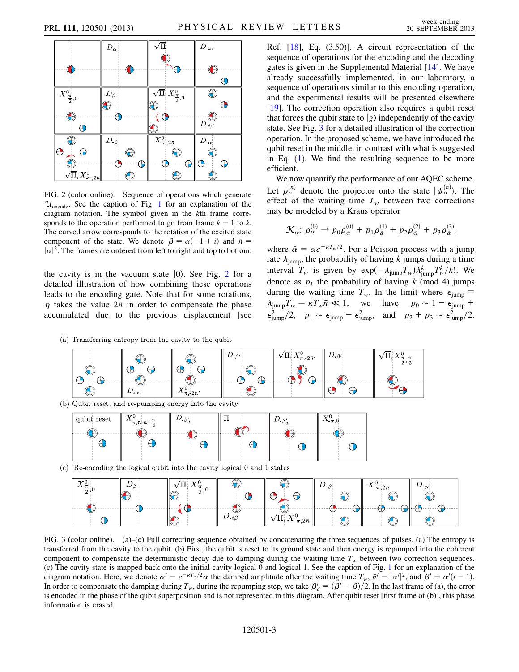<span id="page-2-0"></span>

FIG. 2 (color online). Sequence of operations which generate  $\mathcal{U}_{\text{encode}}$ . See the caption of Fig. [1](#page-1-0) for an explanation of the diagram notation. The symbol given in the kth frame corresponds to the operation performed to go from frame  $k - 1$  to k. The curved arrow corresponds to the rotation of the excited state component of the state. We denote  $\beta = \alpha(-1 + i)$  and  $\bar{n}$ <br> $|\alpha|^2$ . The frames are ordered from left to right and top to botto  $|\alpha|^2$ . The frames are ordered from left to right and top to bottom.

the cavity is in the vacuum state  $|0\rangle$ . See Fig. [2](#page-2-0) for a detailed illustration of how combining these operations leads to the encoding gate. Note that for some rotations,  $\eta$  takes the value  $2\bar{n}$  in order to compensate the phase accumulated due to the previous displacement [see Ref. [\[18\]](#page-4-15), Eq. (3.50)]. A circuit representation of the sequence of operations for the encoding and the decoding gates is given in the Supplemental Material [\[14\]](#page-4-12). We have already successfully implemented, in our laboratory, a sequence of operations similar to this encoding operation, and the experimental results will be presented elsewhere [\[19\]](#page-4-16). The correction operation also requires a qubit reset that forces the qubit state to  $|g\rangle$  independently of the cavity state. See Fig. [3](#page-2-1) for a detailed illustration of the correction operation. In the proposed scheme, we have introduced the qubit reset in the middle, in contrast with what is suggested in Eq. ([1](#page-1-1)). We find the resulting sequence to be more efficient.

We now quantify the performance of our AQEC scheme. Let  $\rho_{\alpha}^{(n)}$  denote the projector onto the state  $|\psi_{\alpha}^{(n)}\rangle$ . The effect of the waiting time  $T_w$  between two corrections may be modeled by a Kraus operator

$$
\mathcal{K}_{w}: \rho_{\alpha}^{(0)} \to p_0 \rho_{\tilde{\alpha}}^{(0)} + p_1 \rho_{\tilde{\alpha}}^{(1)} + p_2 \rho_{\tilde{\alpha}}^{(2)} + p_3 \rho_{\tilde{\alpha}}^{(3)},
$$

where  $\tilde{\alpha} = \alpha e^{-\kappa T_w/2}$ . For a Poisson process with a jump rate  $\lambda$ . rate  $\lambda_{\text{jump}}$ , the probability of having k jumps during a time interval  $T_w$  is given by  $\exp(-\lambda_{\text{jump}} T_w) \lambda_{\text{jump}}^k T_w / k!$ . We denote as  $p_k$  the probability of having k (mod 4) jumps during the waiting time  $T_w$ . In the limit where  $\epsilon_{\text{jump}}$  $\lambda_{\text{jump}} T_w = \kappa T_w \bar{n}$  $\lambda_{\text{jump}} T_w = \kappa T_w \bar{n} \ll 1$ , we have  $p_0 \approx 1 - \epsilon_{\text{jump}} + \epsilon_{\text{jump}}^2/2$ ,  $p_1 \approx \epsilon_{\text{jump}} - \epsilon_{\text{jump}}^2$ , and  $p_2 + p_3 \approx \epsilon_{\text{jump}}^2/2$ .

<span id="page-2-1"></span>

FIG. 3 (color online). (a)–(c) Full correcting sequence obtained by concatenating the three sequences of pulses. (a) The entropy is transferred from the cavity to the qubit. (b) First, the qubit is reset to its ground state and then energy is repumped into the coherent component to compensate the deterministic decay due to damping during the waiting time  $T_w$  between two correction sequences. (c) The cavity state is mapped back onto the initial cavity logical 0 and logical 1. See the caption of Fig. [1](#page-1-0) for an explanation of the diagram notation. Here, we denote  $\alpha' = e^{-\kappa T_w/2} \alpha$  the damped amplitude after the waiting time  $T_w$ ,  $\bar{n}' = |\alpha'|^2$ , and  $\beta' = \alpha'(i-1)$ .<br>In order to compensate the damping during T<sub>re</sub> during the repumping step, we take  $\$ In order to compensate the damping during  $T_w$ , during the repumping step, we take  $\beta'_d = (\beta' - \beta)/2$ . In the last frame of (a), the error is encoded in the phase of the qubit superposition and is not represented in this dia is encoded in the phase of the qubit superposition and is not represented in this diagram. After qubit reset [first frame of (b)], this phase information is erased.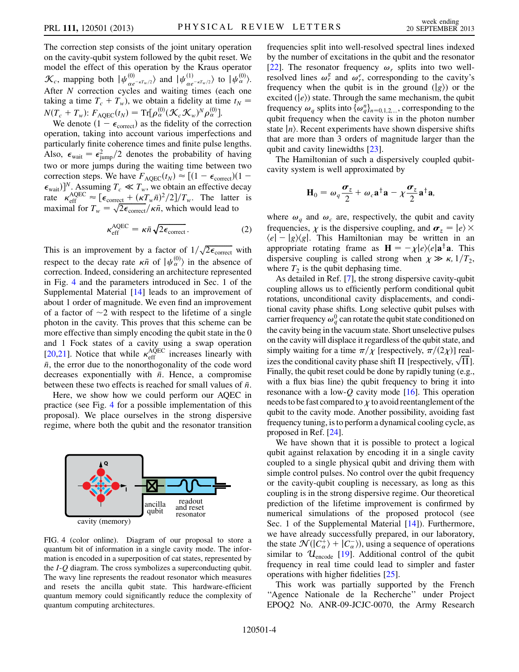The correction step consists of the joint unitary operation on the cavity-qubit system followed by the qubit reset. We model the effect of this operation by the Kraus operator  $\mathcal{K}_c$ , mapping both  $|\psi_{\alpha e^{-\kappa T_w/2}}^{(0)}\rangle$  and  $|\psi_{\alpha e^{-\kappa T_w/2}}^{(1)}\rangle$  to  $|\psi_{\alpha}^{(0)}\rangle$ .<br>After N correction cycles and waiting times (each one taking a time  $T_c + T_w$ , we obtain a fidelity at time  $t_N$  =  $N(T_c + T_w): F_{\text{AQEC}}(t_N) = \text{Tr}[\rho_{\alpha}^{(0)}(\mathcal{K}_c \mathcal{K}_w)^N \rho_{\alpha}^{(0)}].$ <br>We denote  $(1 - \epsilon)$  as the fidelity of the co-

We denote  $(1 - \epsilon_{\text{correct}})$  as the fidelity of the correction operation, taking into account various imperfections and particularly finite coherence times and finite pulse lengths. Also,  $\epsilon_{\text{wait}} = \epsilon_{\text{jump}}^2/2$  denotes the probability of having two or more jumps during the waiting time between two correction steps. We have  $F_{\text{AQEC}}(t_N) \approx [(1 - \epsilon_{\text{correct}})(1 - \epsilon_{\text{wait}})]^N$ . Assuming  $T_c \ll T_w$ , we obtain an effective decay  $\epsilon_{\text{wait}}$ ]<sup>N</sup>. Assuming  $T_c \ll T_w$ , we obtain an effective decay<br>rate  $\kappa_{\text{eff}}^{\text{AQEC}} \approx [\epsilon_{\text{correct}} + (\kappa T_w \bar{n})^2/2]/T_w$ . The latter is<br>maximal for  $T = \sqrt{2\epsilon}/\kappa \bar{n}$  which would lead to maximal for  $T_w = \sqrt{2\epsilon_{\text{correct}}}/\kappa\bar{n}$ , which would lead to

$$
\kappa_{\rm eff}^{\rm AQEC} = \kappa \bar{n} \sqrt{2 \epsilon_{\rm correct}}.
$$
 (2)

This is an improvement by a factor of  $1/\sqrt{2\epsilon_{\text{correct}}}$  with respect to the decay rate  $\kappa \bar{n}$  of  $|\psi_{\alpha}^{(0)}\rangle$  in the absence of correction Indeed considering an architecture represented correction. Indeed, considering an architecture represented in Fig. [4](#page-3-0) and the parameters introduced in Sec. 1 of the Supplemental Material [\[14\]](#page-4-12) leads to an improvement of about 1 order of magnitude. We even find an improvement of a factor of  $\sim$ 2 with respect to the lifetime of a single photon in the cavity. This proves that this scheme can be more effective than simply encoding the qubit state in the 0 and 1 Fock states of a cavity using a swap operation [\[20](#page-4-17)[,21\]](#page-4-18). Notice that while  $\kappa_{\text{eff}}^{\text{AQEC}}$  increases linearly with  $\bar{n}$ , the error due to the nonorthogonality of the code word decreases exponentially with  $\overline{n}$ . Hence, a compromise between these two effects is reached for small values of  $\bar{n}$ .

Here, we show how we could perform our AQEC in practice (see Fig. [4](#page-3-0) for a possible implementation of this proposal). We place ourselves in the strong dispersive regime, where both the qubit and the resonator transition

<span id="page-3-0"></span>

FIG. 4 (color online). Diagram of our proposal to store a quantum bit of information in a single cavity mode. The information is encoded in a superposition of cat states, represented by the I-Q diagram. The cross symbolizes a superconducting qubit. The wavy line represents the readout resonator which measures and resets the ancilla qubit state. This hardware-efficient quantum memory could significantly reduce the complexity of quantum computing architectures.

frequencies split into well-resolved spectral lines indexed by the number of excitations in the qubit and the resonator [\[22\]](#page-4-19). The resonator frequency  $\omega_r$  splits into two wellresolved lines  $\omega_r^g$  and  $\omega_r^e$ , corresponding to the cavity's frequency when the qubit is in the ground  $(|g\rangle)$  or the excited  $(e)$  state. Through the same mechanism, the qubit frequency  $\omega_q$  splits into  $\{\omega_q^n\}_{n=0,1,2,...}$ , corresponding to the only the photon number qubit frequency when the cavity is in the photon number state  $|n\rangle$ . Recent experiments have shown dispersive shifts that are more than 3 orders of magnitude larger than the qubit and cavity linewidths [\[23\]](#page-4-20).

The Hamiltonian of such a dispersively coupled qubitcavity system is well approximated by

$$
\mathbf{H}_0 = \omega_q \frac{\boldsymbol{\sigma}_z}{2} + \omega_c \mathbf{a}^\dagger \mathbf{a} - \chi \frac{\boldsymbol{\sigma}_z}{2} \mathbf{a}^\dagger \mathbf{a},
$$

where  $\omega_q$  and  $\omega_c$  are, respectively, the qubit and cavity frequencies,  $\chi$  is the dispersive coupling, and  $\sigma_z = |e\rangle \times \langle e| - |e\rangle \langle e|$ . This Hamiltonian may be written in an  $\langle e| - |g\rangle\langle g|$ . This Hamiltonian may be written in an appropriate rotating frame as  $\mathbf{H} = -\chi |e\rangle\langle e| \mathbf{a}^{\dagger} \mathbf{a}$ . This dispersive coupling is called strong when  $\chi \gg \kappa$  1/*T*. dispersive coupling is called strong when  $\chi \gg$ <br>where  $T_0$  is the qubit dephasing time  $\gg \kappa$ , 1/T<sub>2</sub>, where  $T_2$  is the qubit dephasing time.

As detailed in Ref. [\[7](#page-4-6)], the strong dispersive cavity-qubit coupling allows us to efficiently perform conditional qubit rotations, unconditional cavity displacements, and conditional cavity phase shifts. Long selective qubit pulses with carrier frequency  $\omega_q^0$  can rotate the qubit state conditioned on the cavity being in the vacuum state. Short unselective pulses on the cavity will displace it regardless of the qubit state, and simply waiting for a time  $\pi/\chi$  [respectively,  $\pi/(2\chi)$ ] real-<br>izes the conditional cavity phase shift  $\Pi$  [respectively,  $\sqrt{\Pi}$ ] izes the conditional cavity phase shift  $\Pi$  [respectively,  $\sqrt{\Pi}$ ]. Finally, the qubit reset could be done by rapidly tuning (e.g., with a flux bias line) the qubit frequency to bring it into resonance with a low-O cavity mode  $[16]$ . This operation needs to be fast compared to  $\chi$  to avoid reentanglement of the qubit to the cavity mode. Another possibility, avoiding fast frequency tuning, is to perform a dynamical cooling cycle, as proposed in Ref. [\[24](#page-4-22)].

We have shown that it is possible to protect a logical qubit against relaxation by encoding it in a single cavity coupled to a single physical qubit and driving them with simple control pulses. No control over the qubit frequency or the cavity-qubit coupling is necessary, as long as this coupling is in the strong dispersive regime. Our theoretical prediction of the lifetime improvement is confirmed by numerical simulations of the proposed protocol (see Sec. 1 of the Supplemental Material [[14](#page-4-12)]). Furthermore, we have already successfully prepared, in our laboratory, the state  $\mathcal{N}(|C_{\alpha}^{+}\rangle + |C_{\alpha}^{-}\rangle)$ , using a sequence of operations<br>similar to  $\mathcal{U}$  . [19] Additional control of the qubit similar to  $\mathcal{U}_{\text{encode}}$  [\[19](#page-4-16)]. Additional control of the qubit frequency in real time could lead to simpler and faster operations with higher fidelities [[25](#page-4-23)].

This work was partially supported by the French ''Agence Nationale de la Recherche'' under Project EPOQ2 No. ANR-09-JCJC-0070, the Army Research